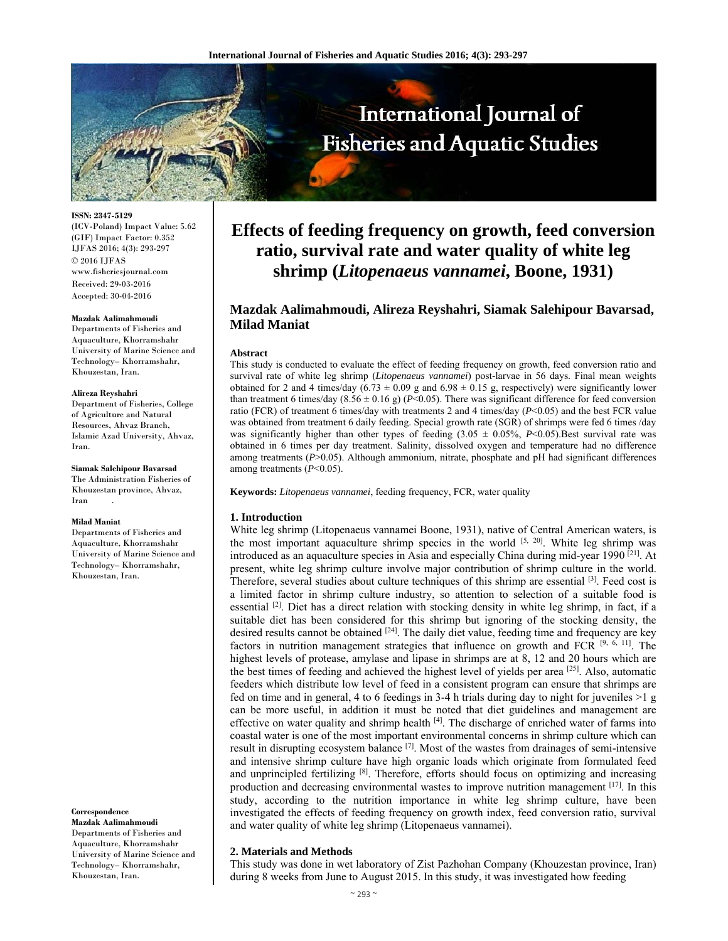

**ISSN: 2347-5129** 

(ICV-Poland) Impact Value: 5.62 (GIF) Impact Factor: 0.352 IJFAS 2016; 4(3): 293-297 © 2016 IJFAS www.fisheriesjournal.com Received: 29-03-2016 Accepted: 30-04-2016

#### **Mazdak Aalimahmoudi**

Departments of Fisheries and Aquaculture, Khorramshahr University of Marine Science and Technology– Khorramshahr, Khouzestan, Iran.

#### **Alireza Reyshahri**

Department of Fisheries, College of Agriculture and Natural Resources, Ahvaz Branch, Islamic Azad University, Ahvaz, Iran.

**Siamak Salehipour Bavarsad**  The Administration Fisheries of Khouzestan province, Ahvaz, Iran .

#### **Milad Maniat**

Departments of Fisheries and Aquaculture, Khorramshahr University of Marine Science and Technology– Khorramshahr, Khouzestan, Iran.

**Correspondence** 

**Mazdak Aalimahmoudi**  Departments of Fisheries and Aquaculture, Khorramshahr University of Marine Science and Technology– Khorramshahr, Khouzestan, Iran.

# **Effects of feeding frequency on growth, feed conversion ratio, survival rate and water quality of white leg shrimp (***Litopenaeus vannamei***, Boone, 1931)**

# **Mazdak Aalimahmoudi, Alireza Reyshahri, Siamak Salehipour Bavarsad, Milad Maniat**

#### **Abstract**

This study is conducted to evaluate the effect of feeding frequency on growth, feed conversion ratio and survival rate of white leg shrimp (*Litopenaeus vannamei*) post-larvae in 56 days. Final mean weights obtained for 2 and 4 times/day  $(6.73 \pm 0.09 \text{ g}$  and  $6.98 \pm 0.15 \text{ g}$ , respectively) were significantly lower than treatment 6 times/day (8.56  $\pm$  0.16 g) (*P*<0.05). There was significant difference for feed conversion ratio (FCR) of treatment 6 times/day with treatments 2 and 4 times/day (*P*<0.05) and the best FCR value was obtained from treatment 6 daily feeding. Special growth rate (SGR) of shrimps were fed 6 times /day was significantly higher than other types of feeding  $(3.05 \pm 0.05\%)$ , *P*<0.05). Best survival rate was obtained in 6 times per day treatment. Salinity, dissolved oxygen and temperature had no difference among treatments (*P*>0.05). Although ammonium, nitrate, phosphate and pH had significant differences among treatments (*P*<0.05).

**Keywords:** *Litopenaeus vannamei*, feeding frequency, FCR, water quality

#### **1. Introduction**

White leg shrimp (Litopenaeus vannamei Boone, 1931), native of Central American waters, is the most important aquaculture shrimp species in the world  $[5, 20]$ . White leg shrimp was introduced as an aquaculture species in Asia and especially China during mid-year 1990<sup>[21]</sup>. At present, white leg shrimp culture involve major contribution of shrimp culture in the world. Therefore, several studies about culture techniques of this shrimp are essential [3]. Feed cost is a limited factor in shrimp culture industry, so attention to selection of a suitable food is essential <sup>[2]</sup>. Diet has a direct relation with stocking density in white leg shrimp, in fact, if a suitable diet has been considered for this shrimp but ignoring of the stocking density, the desired results cannot be obtained <sup>[24]</sup>. The daily diet value, feeding time and frequency are key factors in nutrition management strategies that influence on growth and FCR  $[9, 6, 11]$ . The highest levels of protease, amylase and lipase in shrimps are at 8, 12 and 20 hours which are the best times of feeding and achieved the highest level of yields per area  $[25]$ . Also, automatic feeders which distribute low level of feed in a consistent program can ensure that shrimps are fed on time and in general, 4 to 6 feedings in 3-4 h trials during day to night for juveniles  $>1$  g can be more useful, in addition it must be noted that diet guidelines and management are effective on water quality and shrimp health  $[4]$ . The discharge of enriched water of farms into coastal water is one of the most important environmental concerns in shrimp culture which can result in disrupting ecosystem balance  $[7]$ . Most of the wastes from drainages of semi-intensive and intensive shrimp culture have high organic loads which originate from formulated feed and unprincipled fertilizing  $[8]$ . Therefore, efforts should focus on optimizing and increasing production and decreasing environmental wastes to improve nutrition management  $[17]$ . In this study, according to the nutrition importance in white leg shrimp culture, have been investigated the effects of feeding frequency on growth index, feed conversion ratio, survival and water quality of white leg shrimp (Litopenaeus vannamei).

#### **2. Materials and Methods**

This study was done in wet laboratory of Zist Pazhohan Company (Khouzestan province, Iran) during 8 weeks from June to August 2015. In this study, it was investigated how feeding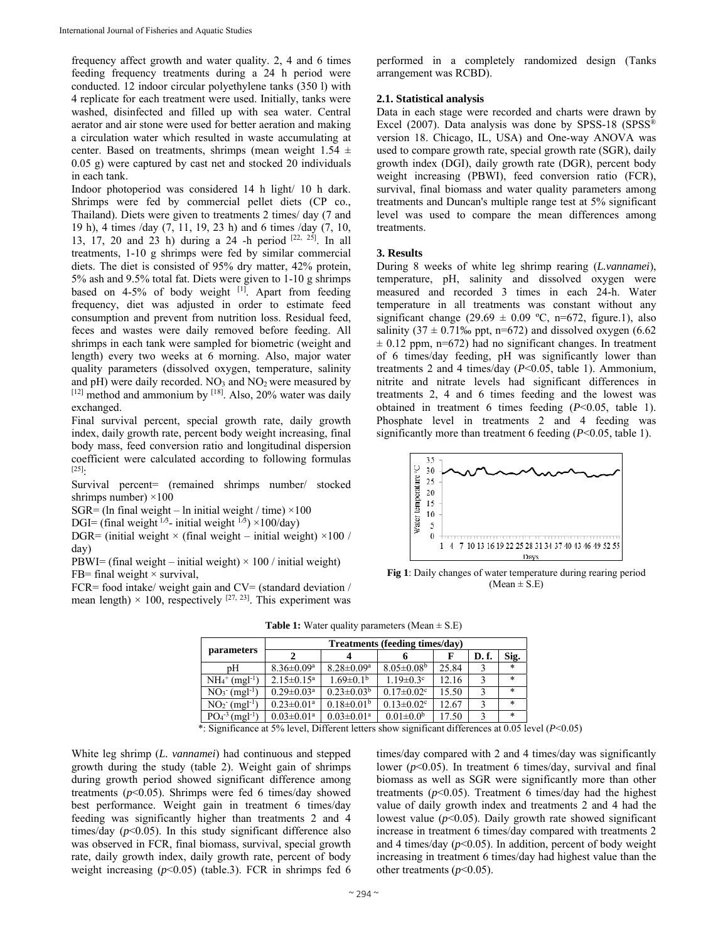frequency affect growth and water quality. 2, 4 and 6 times feeding frequency treatments during a 24 h period were conducted. 12 indoor circular polyethylene tanks (350 l) with 4 replicate for each treatment were used. Initially, tanks were washed, disinfected and filled up with sea water. Central aerator and air stone were used for better aeration and making a circulation water which resulted in waste accumulating at center. Based on treatments, shrimps (mean weight  $1.54 \pm$ 0.05 g) were captured by cast net and stocked 20 individuals in each tank.

Indoor photoperiod was considered 14 h light/ 10 h dark. Shrimps were fed by commercial pellet diets (CP co., Thailand). Diets were given to treatments 2 times/ day (7 and 19 h), 4 times /day (7, 11, 19, 23 h) and 6 times /day (7, 10, 13, 17, 20 and 23 h) during a 24 -h period [22, 25]. In all treatments, 1-10 g shrimps were fed by similar commercial diets. The diet is consisted of 95% dry matter, 42% protein, 5% ash and 9.5% total fat. Diets were given to 1-10 g shrimps based on 4-5% of body weight [1]. Apart from feeding frequency, diet was adjusted in order to estimate feed consumption and prevent from nutrition loss. Residual feed, feces and wastes were daily removed before feeding. All shrimps in each tank were sampled for biometric (weight and length) every two weeks at 6 morning. Also, major water quality parameters (dissolved oxygen, temperature, salinity and  $pH$ ) were daily recorded.  $NO<sub>3</sub>$  and  $NO<sub>2</sub>$  were measured by  $[12]$  method and ammonium by  $[18]$ . Also, 20% water was daily exchanged.

Final survival percent, special growth rate, daily growth index, daily growth rate, percent body weight increasing, final body mass, feed conversion ratio and longitudinal dispersion coefficient were calculated according to following formulas [25]:

Survival percent= (remained shrimps number/ stocked shrimps number)  $\times$ 100

 $SGR = (ln final weight – ln initial weight / time) \times 100$ 

DGI= (final weight  $^{1/3}$ - initial weight  $^{1/3}$ ) ×100/day)

DGR= (initial weight  $\times$  (final weight – initial weight)  $\times$ 100 / day)

PBWI= (final weight – initial weight)  $\times$  100 / initial weight) FB= final weight  $\times$  survival,

FCR= food intake/ weight gain and CV= (standard deviation / mean length)  $\times$  100, respectively <sup>[27, 23]</sup>. This experiment was performed in a completely randomized design (Tanks arrangement was RCBD).

## **2.1. Statistical analysis**

Data in each stage were recorded and charts were drawn by Excel (2007). Data analysis was done by SPSS-18 (SPSS® version 18. Chicago, IL, USA) and One-way ANOVA was used to compare growth rate, special growth rate (SGR), daily growth index (DGI), daily growth rate (DGR), percent body weight increasing (PBWI), feed conversion ratio (FCR), survival, final biomass and water quality parameters among treatments and Duncan's multiple range test at 5% significant level was used to compare the mean differences among treatments.

#### **3. Results**

During 8 weeks of white leg shrimp rearing (*L.vannamei*), temperature, pH, salinity and dissolved oxygen were measured and recorded 3 times in each 24-h. Water temperature in all treatments was constant without any significant change (29.69  $\pm$  0.09 °C, n=672, figure.1), also salinity (37  $\pm$  0.71‰ ppt, n=672) and dissolved oxygen (6.62  $\pm$  0.12 ppm, n=672) had no significant changes. In treatment of 6 times/day feeding, pH was significantly lower than treatments 2 and 4 times/day (*P*<0.05, table 1). Ammonium, nitrite and nitrate levels had significant differences in treatments 2, 4 and 6 times feeding and the lowest was obtained in treatment 6 times feeding (*P*<0.05, table 1). Phosphate level in treatments 2 and 4 feeding was significantly more than treatment 6 feeding (*P*<0.05, table 1).



**Fig 1**: Daily changes of water temperature during rearing period  $(Mean \pm S.E)$ 

|                                          | Treatments (feeding times/day) |                              |                              |       |       |        |  |
|------------------------------------------|--------------------------------|------------------------------|------------------------------|-------|-------|--------|--|
| parameters                               |                                |                              |                              |       | D. f. | Sig.   |  |
| pН                                       | $8.36 \pm 0.09$ <sup>a</sup>   | $8.28 \pm 0.09$ <sup>a</sup> | $8.05 \pm 0.08$ <sup>b</sup> | 25.84 |       | $\ast$ |  |
| $NH_4^+(mgl^{-1})$                       | $2.15 \pm 0.15^a$              | $1.69 \pm 0.1^{\rm b}$       | $1.19 \pm 0.3$ <sup>c</sup>  | 12.16 |       | $\ast$ |  |
| $NO_3$ (mgl <sup>-1</sup> )              | $0.29 \pm 0.03$ <sup>a</sup>   | $0.23 \pm 0.03^b$            | $0.17 \pm 0.02$ <sup>c</sup> | 15.50 |       | $\ast$ |  |
| $NO2- (mgl-1)$                           | $0.23 \pm 0.01$ <sup>a</sup>   | $0.18 \pm 0.01^b$            | $0.13 \pm 0.02$ <sup>c</sup> | 12.67 |       | $\ast$ |  |
| $PO4-3$<br>$\text{m}$ gl <sup>-1</sup> ) | $0.03 \pm 0.01$ <sup>a</sup>   | $0.03 \pm 0.01$ <sup>a</sup> | $0.01 \pm 0.0^b$             | 17.50 |       | $\ast$ |  |

**Table 1:** Water quality parameters (Mean  $\pm$  S.E)

\*: Significance at 5% level, Different letters show significant differences at 0.05 level (*P*<0.05)

White leg shrimp (*L. vannamei*) had continuous and stepped growth during the study (table 2). Weight gain of shrimps during growth period showed significant difference among treatments  $(p<0.05)$ . Shrimps were fed 6 times/day showed best performance. Weight gain in treatment 6 times/day feeding was significantly higher than treatments 2 and 4 times/day  $(p<0.05)$ . In this study significant difference also was observed in FCR, final biomass, survival, special growth rate, daily growth index, daily growth rate, percent of body weight increasing (*p*<0.05) (table.3). FCR in shrimps fed 6

times/day compared with 2 and 4 times/day was significantly lower ( $p$ <0.05). In treatment 6 times/day, survival and final biomass as well as SGR were significantly more than other treatments  $(p<0.05)$ . Treatment 6 times/day had the highest value of daily growth index and treatments 2 and 4 had the lowest value  $(p<0.05)$ . Daily growth rate showed significant increase in treatment 6 times/day compared with treatments 2 and 4 times/day  $(p<0.05)$ . In addition, percent of body weight increasing in treatment 6 times/day had highest value than the other treatments  $(p<0.05)$ .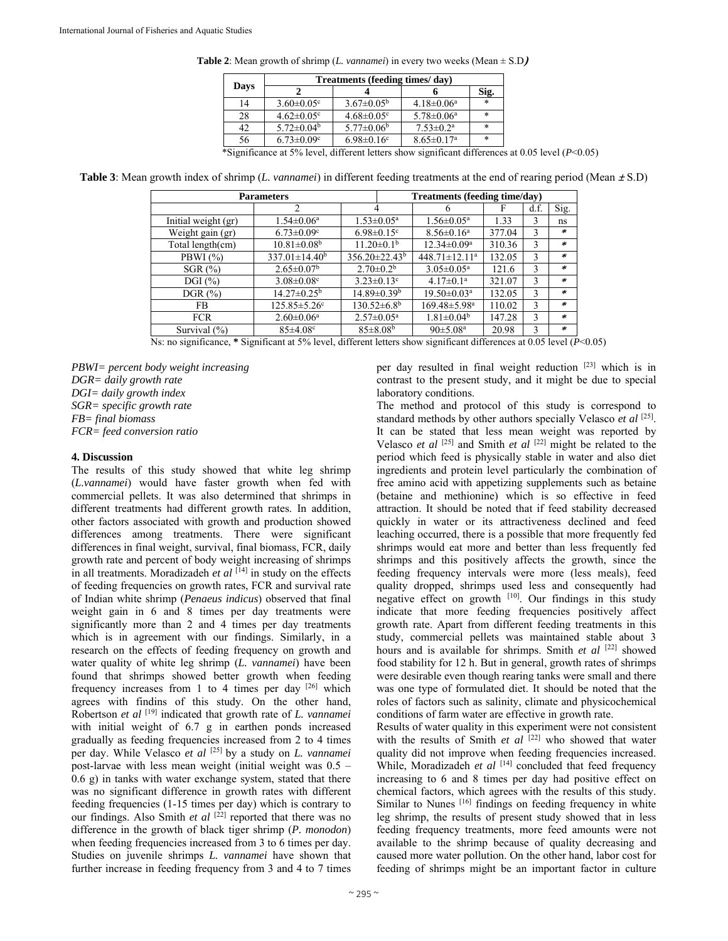|  | <b>Table 2:</b> Mean growth of shrimp (L. vannamei) in every two weeks (Mean $\pm$ S.D) |  |
|--|-----------------------------------------------------------------------------------------|--|
|  | Treatments (feeding times/day)                                                          |  |

|      | Treatments (feeding times/day) |                              |                              |        |  |  |
|------|--------------------------------|------------------------------|------------------------------|--------|--|--|
| Days |                                |                              |                              | Sig.   |  |  |
| 14   | $3.60 \pm 0.05$ <sup>c</sup>   | $3.67 \pm 0.05^{\rm b}$      | $4.18 \pm 0.06^{\text{a}}$   | $\ast$ |  |  |
| 28   | $4.62 \pm 0.05$ <sup>c</sup>   | $4.68 \pm 0.05$ <sup>c</sup> | $5.78 \pm 0.06^{\text{a}}$   | *      |  |  |
| 42   | $5.72 \pm 0.04^b$              | $5.77 \pm 0.06^b$            | $7.53 \pm 0.2^{\text{a}}$    | *      |  |  |
| 56   | $6.73 \pm 0.09$ <sup>c</sup>   | $6.98 \pm 0.16$ <sup>c</sup> | $8.65 \pm 0.17$ <sup>a</sup> | *      |  |  |

\*Significance at 5% level, different letters show significant differences at 0.05 level (*P*<0.05)

**Table 3**: Mean growth index of shrimp (*L. vannamei*) in different feeding treatments at the end of rearing period (Mean**<sup>±</sup>** S.D)

|                     | <b>Parameters</b>              |                              |                          | Treatments (feeding time/day)  |        |      |         |
|---------------------|--------------------------------|------------------------------|--------------------------|--------------------------------|--------|------|---------|
|                     | 2                              | 4                            |                          |                                |        | d.f. | Sig.    |
| Initial weight (gr) | $1.54 \pm 0.06^{\mathrm{a}}$   | $1.53 \pm 0.05^{\text{a}}$   |                          | $1.56 \pm 0.05^{\text{a}}$     | 1.33   | 3    | ns      |
| Weight gain (gr)    | $6.73 \pm 0.09$ <sup>c</sup>   | $6.98 \pm 0.15$ <sup>c</sup> |                          | $8.56 \pm 0.16^a$              | 377.04 | 3    | ∗       |
| Total length(cm)    | $10.81 \pm 0.08$ <sup>b</sup>  | $11.20 \pm 0.1^b$            |                          | $12.34 \pm 0.09^{\mathrm{a}}$  | 310.36 | 3    | $\ast$  |
| PBWI $(%)$          | $337.01 \pm 14.40^b$           |                              | $356.20 \pm 22.43^b$     | $448.71 \pm 12.11^a$           | 132.05 | 3    | $\ast$  |
| SGR(%)              | $2.65 \pm 0.07^b$              |                              | $2.70 \pm 0.2^b$         | $3.05 \pm 0.05^{\text{a}}$     | 121.6  | 3    | $\ast$  |
| DGI $(\% )$         | $3.08 \pm 0.08$ c              |                              | $3.23 \pm 0.13$ °        | $4.17 \pm 0.1^a$               | 321.07 | 3    | $\ast$  |
| DGR $(\%)$          | $14.27 \pm 0.25^{\rm b}$       |                              | $14.89 \pm 0.39^{\rm b}$ | $19.50 \pm 0.03$ <sup>a</sup>  | 132.05 | 3    | $\ast$  |
| FB.                 | $125.85 \pm 5.26$ <sup>c</sup> |                              | $130.52 \pm 6.8^{\rm b}$ | $169.48 \pm 5.98$ <sup>a</sup> | 110.02 | 3    | $\ast$  |
| <b>FCR</b>          | $2.60 \pm 0.06^a$              | $2.57 \pm 0.05^{\text{a}}$   |                          | $1.81 \pm 0.04^b$              | 147.28 | 3    | $\ast$  |
| Survival $(\% )$    | $85 \pm 4.08$ <sup>c</sup>     |                              | $85 \pm 8.08^{\rm b}$    | $90 \pm 5.08^{\text{a}}$       | 20.98  | 3    | $\star$ |

Ns: no significance, **\*** Significant at 5% level, different letters show significant differences at 0.05 level (*P*<0.05)

*PBWI= percent body weight increasing DGR= daily growth rate DGI= daily growth index SGR= specific growth rate FB= final biomass FCR= feed conversion ratio* 

### **4. Discussion**

The results of this study showed that white leg shrimp (*L.vannamei*) would have faster growth when fed with commercial pellets. It was also determined that shrimps in different treatments had different growth rates. In addition, other factors associated with growth and production showed differences among treatments. There were significant differences in final weight, survival, final biomass, FCR, daily growth rate and percent of body weight increasing of shrimps in all treatments. Moradizadeh et al <sup>[14]</sup> in study on the effects of feeding frequencies on growth rates, FCR and survival rate of Indian white shrimp (*Penaeus indicus*) observed that final weight gain in 6 and 8 times per day treatments were significantly more than 2 and 4 times per day treatments which is in agreement with our findings. Similarly, in a research on the effects of feeding frequency on growth and water quality of white leg shrimp (*L. vannamei*) have been found that shrimps showed better growth when feeding frequency increases from 1 to 4 times per day [26] which agrees with findins of this study. On the other hand, Robertson *et al* [19] indicated that growth rate of *L. vannamei* with initial weight of 6.7 g in earthen ponds increased gradually as feeding frequencies increased from 2 to 4 times per day. While Velasco *et al* [25] by a study on *L. vannamei* post-larvae with less mean weight (initial weight was 0.5 – 0.6 g) in tanks with water exchange system, stated that there was no significant difference in growth rates with different feeding frequencies (1-15 times per day) which is contrary to our findings. Also Smith *et al* <sup>[22]</sup> reported that there was no difference in the growth of black tiger shrimp (*P. monodon*) when feeding frequencies increased from 3 to 6 times per day. Studies on juvenile shrimps *L. vannamei* have shown that further increase in feeding frequency from 3 and 4 to 7 times per day resulted in final weight reduction [23] which is in contrast to the present study, and it might be due to special laboratory conditions.

The method and protocol of this study is correspond to standard methods by other authors specially Velasco *et al* [25]. It can be stated that less mean weight was reported by Velasco *et al* [25] and Smith *et al* [22] might be related to the period which feed is physically stable in water and also diet ingredients and protein level particularly the combination of free amino acid with appetizing supplements such as betaine (betaine and methionine) which is so effective in feed attraction. It should be noted that if feed stability decreased quickly in water or its attractiveness declined and feed leaching occurred, there is a possible that more frequently fed shrimps would eat more and better than less frequently fed shrimps and this positively affects the growth, since the feeding frequency intervals were more (less meals), feed quality dropped, shrimps used less and consequently had negative effect on growth  $[10]$ . Our findings in this study indicate that more feeding frequencies positively affect growth rate. Apart from different feeding treatments in this study, commercial pellets was maintained stable about 3 hours and is available for shrimps. Smith *et al* [22] showed food stability for 12 h. But in general, growth rates of shrimps were desirable even though rearing tanks were small and there was one type of formulated diet. It should be noted that the roles of factors such as salinity, climate and physicochemical conditions of farm water are effective in growth rate.

Results of water quality in this experiment were not consistent with the results of Smith *et al* <sup>[22]</sup> who showed that water quality did not improve when feeding frequencies increased. While, Moradizadeh et al <sup>[14]</sup> concluded that feed frequency increasing to 6 and 8 times per day had positive effect on chemical factors, which agrees with the results of this study. Similar to Nunes<sup>[16]</sup> findings on feeding frequency in white leg shrimp, the results of present study showed that in less feeding frequency treatments, more feed amounts were not available to the shrimp because of quality decreasing and caused more water pollution. On the other hand, labor cost for feeding of shrimps might be an important factor in culture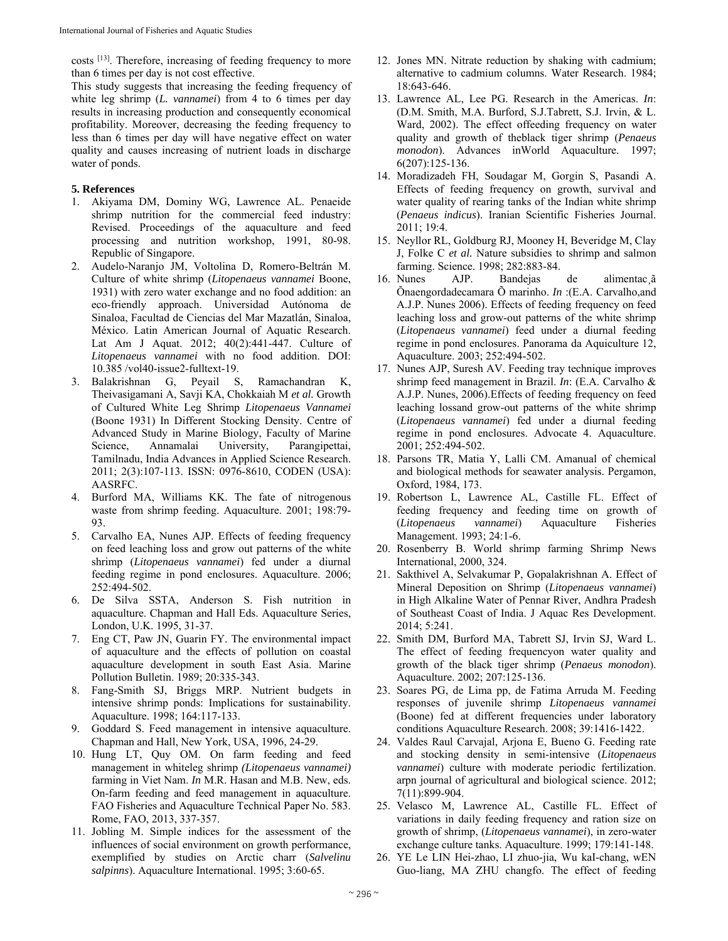costs [13]. Therefore, increasing of feeding frequency to more than 6 times per day is not cost effective.

This study suggests that increasing the feeding frequency of white leg shrimp (*L. vannamei*) from 4 to 6 times per day results in increasing production and consequently economical profitability. Moreover, decreasing the feeding frequency to less than 6 times per day will have negative effect on water quality and causes increasing of nutrient loads in discharge water of ponds.

# **5. References**

- 1. Akiyama DM, Dominy WG, Lawrence AL. Penaeide shrimp nutrition for the commercial feed industry: Revised. Proceedings of the aquaculture and feed processing and nutrition workshop, 1991, 80-98. Republic of Singapore.
- 2. Audelo-Naranjo JM, Voltolina D, Romero-Beltrán M. Culture of white shrimp (*Litopenaeus vannamei* Boone, 1931) with zero water exchange and no food addition: an eco-friendly approach. Universidad Autónoma de Sinaloa, Facultad de Ciencias del Mar Mazatlán, Sinaloa, México. Latin American Journal of Aquatic Research. Lat Am J Aquat. 2012; 40(2):441-447. Culture of *Litopenaeus vannamei* with no food addition. DOI: 10.385 /vol40-issue2-fulltext-19.
- 3. Balakrishnan G, Peyail S, Ramachandran K, Theivasigamani A, Savji KA, Chokkaiah M *et al.* Growth of Cultured White Leg Shrimp *Litopenaeus Vannamei* (Boone 1931) In Different Stocking Density. Centre of Advanced Study in Marine Biology, Faculty of Marine Science, Annamalai University, Parangipettai, Tamilnadu, India Advances in Applied Science Research. 2011; 2(3):107-113. ISSN: 0976-8610, CODEN (USA): AASRFC.
- 4. Burford MA, Williams KK. The fate of nitrogenous waste from shrimp feeding. Aquaculture. 2001; 198:79- 93.
- 5. Carvalho EA, Nunes AJP. Effects of feeding frequency on feed leaching loss and grow out patterns of the white shrimp (*Litopenaeus vannamei*) fed under a diurnal feeding regime in pond enclosures. Aquaculture. 2006; 252:494-502.
- 6. De Silva SSTA, Anderson S. Fish nutrition in aquaculture. Chapman and Hall Eds. Aquaculture Series, London, U.K. 1995, 31-37.
- 7. Eng CT, Paw JN, Guarin FY. The environmental impact of aquaculture and the effects of pollution on coastal aquaculture development in south East Asia. Marine Pollution Bulletin. 1989; 20:335-343.
- 8. Fang-Smith SJ, Briggs MRP. Nutrient budgets in intensive shrimp ponds: Implications for sustainability. Aquaculture. 1998; 164:117-133.
- 9. Goddard S. Feed management in intensive aquaculture. Chapman and Hall, New York, USA, 1996, 24-29.
- 10. Hung LT, Quy OM. On farm feeding and feed management in whiteleg shrimp *(Litopenaeus vannamei)*  farming in Viet Nam. *In* M.R. Hasan and M.B. New, eds. On-farm feeding and feed management in aquaculture. FAO Fisheries and Aquaculture Technical Paper No. 583. Rome, FAO, 2013, 337-357.
- 11. Jobling M. Simple indices for the assessment of the influences of social environment on growth performance, exemplified by studies on Arctic charr (*Salvelinu salpinns*). Aquaculture International. 1995; 3:60-65.
- 12. Jones MN. Nitrate reduction by shaking with cadmium; alternative to cadmium columns. Water Research. 1984; 18:643-646.
- 13. Lawrence AL, Lee PG. Research in the Americas. *In*: (D.M. Smith, M.A. Burford, S.J.Tabrett, S.J. Irvin, & L. Ward, 2002). The effect offeeding frequency on water quality and growth of theblack tiger shrimp (*Penaeus monodon*). Advances inWorld Aquaculture. 1997; 6(207):125-136.
- 14. Moradizadeh FH, Soudagar M, Gorgin S, Pasandi A. Effects of feeding frequency on growth, survival and water quality of rearing tanks of the Indian white shrimp (*Penaeus indicus*). Iranian Scientific Fisheries Journal. 2011; 19:4.
- 15. Neyllor RL, Goldburg RJ, Mooney H, Beveridge M, Clay J, Folke C *et al.* Nature subsidies to shrimp and salmon farming. Science. 1998; 282:883-84.
- 16. Nunes AJP. Bandejas de alimentac¸ã Ŏnaengordadecamara Õ marinho. *In* :(E.A. Carvalho,and A.J.P. Nunes 2006). Effects of feeding frequency on feed leaching loss and grow-out patterns of the white shrimp (*Litopenaeus vannamei*) feed under a diurnal feeding regime in pond enclosures. Panorama da Aquiculture 12, Aquaculture. 2003; 252:494-502.
- 17. Nunes AJP, Suresh AV. Feeding tray technique improves shrimp feed management in Brazil. *In*: (E.A. Carvalho & A.J.P. Nunes, 2006).Effects of feeding frequency on feed leaching lossand grow-out patterns of the white shrimp (*Litopenaeus vannamei*) fed under a diurnal feeding regime in pond enclosures. Advocate 4. Aquaculture. 2001; 252:494-502.
- 18. Parsons TR, Matia Y, Lalli CM. Amanual of chemical and biological methods for seawater analysis. Pergamon, Oxford, 1984, 173.
- 19. Robertson L, Lawrence AL, Castille FL. Effect of feeding frequency and feeding time on growth of (*Litopenaeus vannamei*) Aquaculture Fisheries Management. 1993; 24:1-6.
- 20. Rosenberry B. World shrimp farming Shrimp News International, 2000, 324.
- 21. Sakthivel A, Selvakumar P, Gopalakrishnan A. Effect of Mineral Deposition on Shrimp (*Litopenaeus vannamei*) in High Alkaline Water of Pennar River, Andhra Pradesh of Southeast Coast of India. J Aquac Res Development. 2014; 5:241.
- 22. Smith DM, Burford MA, Tabrett SJ, Irvin SJ, Ward L. The effect of feeding frequencyon water quality and growth of the black tiger shrimp (*Penaeus monodon*). Aquaculture. 2002; 207:125-136.
- 23. Soares PG, de Lima pp, de Fatima Arruda M. Feeding responses of juvenile shrimp *Litopenaeus vannamei* (Boone) fed at different frequencies under laboratory conditions Aquaculture Research. 2008; 39:1416-1422.
- 24. Valdes Raul Carvajal, Arjona E, Bueno G. Feeding rate and stocking density in semi-intensive (*Litopenaeus vannamei*) culture with moderate periodic fertilization. arpn journal of agricultural and biological science. 2012; 7(11):899-904.
- 25. Velasco M, Lawrence AL, Castille FL. Effect of variations in daily feeding frequency and ration size on growth of shrimp, (*Litopenaeus vannamei*), in zero-water exchange culture tanks. Aquaculture. 1999; 179:141-148.
- 26. YE Le LIN Hei-zhao, LI zhuo-jia, Wu kaI-chang, wEN Guo-liang, MA ZHU changfo. The effect of feeding